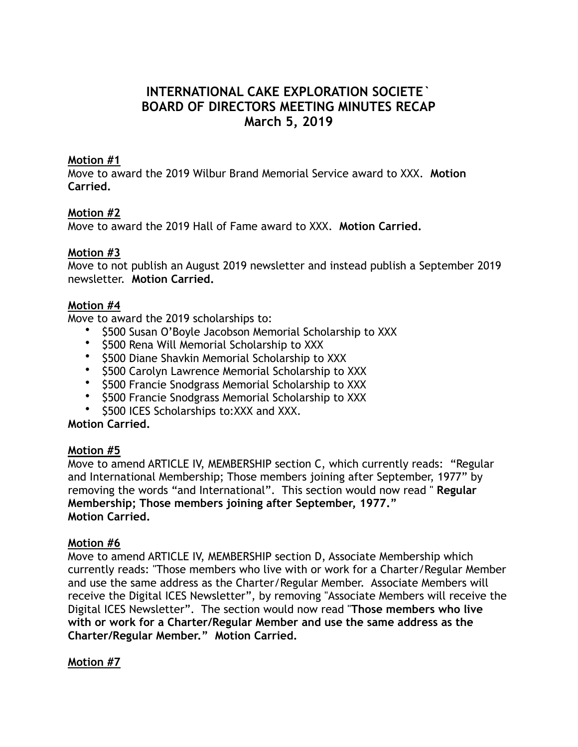# **INTERNATIONAL CAKE EXPLORATION SOCIETE` BOARD OF DIRECTORS MEETING MINUTES RECAP March 5, 2019**

## **Motion #1**

Move to award the 2019 Wilbur Brand Memorial Service award to XXX. **Motion Carried.**

## **Motion #2**

Move to award the 2019 Hall of Fame award to XXX. **Motion Carried.**

#### **Motion #3**

Move to not publish an August 2019 newsletter and instead publish a September 2019 newsletter. **Motion Carried.**

#### **Motion #4**

Move to award the 2019 scholarships to:

- \$500 Susan O'Boyle Jacobson Memorial Scholarship to XXX
- \$500 Rena Will Memorial Scholarship to XXX
- \$500 Diane Shavkin Memorial Scholarship to XXX
- \$500 Carolyn Lawrence Memorial Scholarship to XXX
- \$500 Francie Snodgrass Memorial Scholarship to XXX
- \$500 Francie Snodgrass Memorial Scholarship to XXX
- \$500 ICES Scholarships to:XXX and XXX.

# **Motion Carried.**

#### **Motion #5**

Move to amend ARTICLE IV, MEMBERSHIP section C, which currently reads: "Regular and International Membership; Those members joining after September, 1977" by removing the words "and International". This section would now read " **Regular Membership; Those members joining after September, 1977." Motion Carried.** 

#### **Motion #6**

Move to amend ARTICLE IV, MEMBERSHIP section D, Associate Membership which currently reads: "Those members who live with or work for a Charter/Regular Member and use the same address as the Charter/Regular Member. Associate Members will receive the Digital ICES Newsletter", by removing "Associate Members will receive the Digital ICES Newsletter". The section would now read "**Those members who live with or work for a Charter/Regular Member and use the same address as the Charter/Regular Member." Motion Carried.** 

## **Motion #7**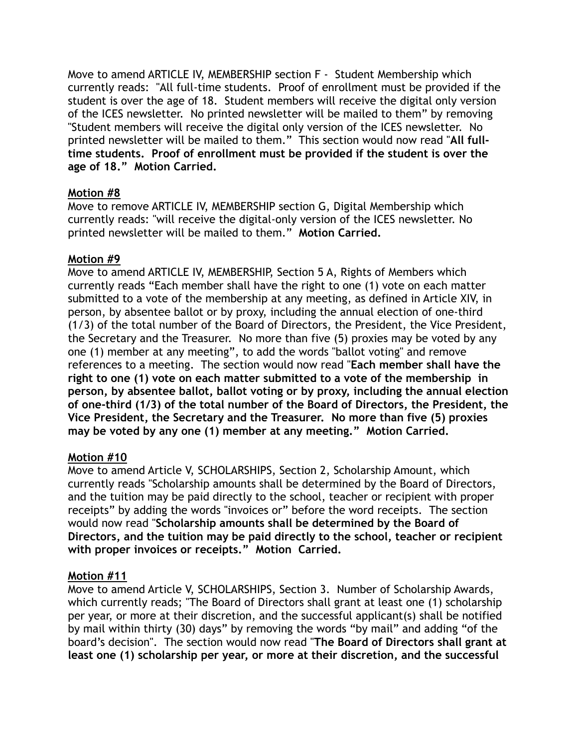Move to amend ARTICLE IV, MEMBERSHIP section F - Student Membership which currently reads: "All full-time students. Proof of enrollment must be provided if the student is over the age of 18. Student members will receive the digital only version of the ICES newsletter. No printed newsletter will be mailed to them" by removing "Student members will receive the digital only version of the ICES newsletter. No printed newsletter will be mailed to them." This section would now read "**All fulltime students. Proof of enrollment must be provided if the student is over the age of 18." Motion Carried.** 

# **Motion #8**

Move to remove ARTICLE IV, MEMBERSHIP section G, Digital Membership which currently reads: "will receive the digital-only version of the ICES newsletter. No printed newsletter will be mailed to them." **Motion Carried.** 

# **Motion #9**

Move to amend ARTICLE IV, MEMBERSHIP, Section 5 A, Rights of Members which currently reads "Each member shall have the right to one (1) vote on each matter submitted to a vote of the membership at any meeting, as defined in Article XIV, in person, by absentee ballot or by proxy, including the annual election of one-third (1/3) of the total number of the Board of Directors, the President, the Vice President, the Secretary and the Treasurer. No more than five (5) proxies may be voted by any one (1) member at any meeting", to add the words "ballot voting" and remove references to a meeting. The section would now read "**Each member shall have the right to one (1) vote on each matter submitted to a vote of the membership in person, by absentee ballot, ballot voting or by proxy, including the annual election of one-third (1/3) of the total number of the Board of Directors, the President, the Vice President, the Secretary and the Treasurer. No more than five (5) proxies may be voted by any one (1) member at any meeting." Motion Carried.** 

# **Motion #10**

Move to amend Article V, SCHOLARSHIPS, Section 2, Scholarship Amount, which currently reads "Scholarship amounts shall be determined by the Board of Directors, and the tuition may be paid directly to the school, teacher or recipient with proper receipts" by adding the words "invoices or" before the word receipts. The section would now read "**Scholarship amounts shall be determined by the Board of Directors, and the tuition may be paid directly to the school, teacher or recipient with proper invoices or receipts." Motion Carried.** 

## **Motion #11**

Move to amend Article V, SCHOLARSHIPS, Section 3. Number of Scholarship Awards, which currently reads; "The Board of Directors shall grant at least one (1) scholarship per year, or more at their discretion, and the successful applicant(s) shall be notified by mail within thirty (30) days" by removing the words "by mail" and adding "of the board's decision". The section would now read "**The Board of Directors shall grant at least one (1) scholarship per year, or more at their discretion, and the successful**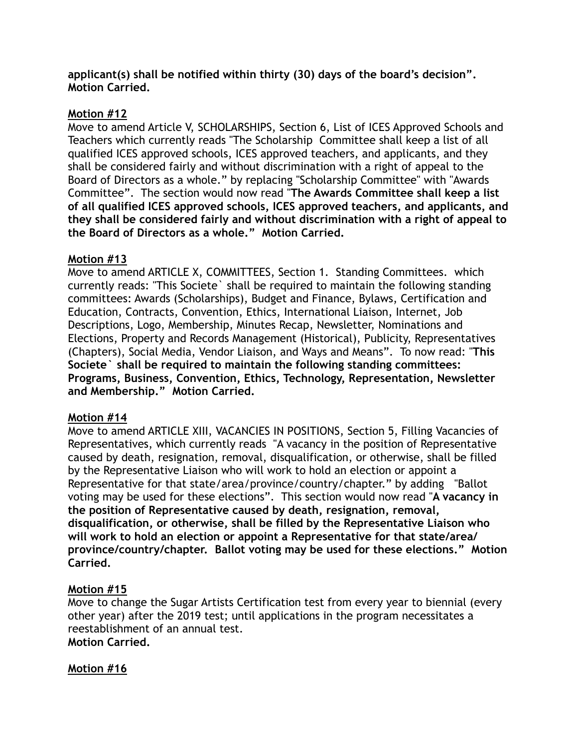**applicant(s) shall be notified within thirty (30) days of the board's decision". Motion Carried.**

# **Motion #12**

Move to amend Article V, SCHOLARSHIPS, Section 6, List of ICES Approved Schools and Teachers which currently reads "The Scholarship Committee shall keep a list of all qualified ICES approved schools, ICES approved teachers, and applicants, and they shall be considered fairly and without discrimination with a right of appeal to the Board of Directors as a whole." by replacing "Scholarship Committee" with "Awards Committee". The section would now read "**The Awards Committee shall keep a list of all qualified ICES approved schools, ICES approved teachers, and applicants, and they shall be considered fairly and without discrimination with a right of appeal to the Board of Directors as a whole." Motion Carried.**

# **Motion #13**

Move to amend ARTICLE X, COMMITTEES, Section 1. Standing Committees. which currently reads: "This Societe` shall be required to maintain the following standing committees: Awards (Scholarships), Budget and Finance, Bylaws, Certification and Education, Contracts, Convention, Ethics, International Liaison, Internet, Job Descriptions, Logo, Membership, Minutes Recap, Newsletter, Nominations and Elections, Property and Records Management (Historical), Publicity, Representatives (Chapters), Social Media, Vendor Liaison, and Ways and Means". To now read: "**This Societe` shall be required to maintain the following standing committees: Programs, Business, Convention, Ethics, Technology, Representation, Newsletter and Membership." Motion Carried.** 

## **Motion #14**

Move to amend ARTICLE XIII, VACANCIES IN POSITIONS, Section 5, Filling Vacancies of Representatives, which currently reads "A vacancy in the position of Representative caused by death, resignation, removal, disqualification, or otherwise, shall be filled by the Representative Liaison who will work to hold an election or appoint a Representative for that state/area/province/country/chapter." by adding "Ballot voting may be used for these elections". This section would now read "**A vacancy in the position of Representative caused by death, resignation, removal, disqualification, or otherwise, shall be filled by the Representative Liaison who will work to hold an election or appoint a Representative for that state/area/ province/country/chapter. Ballot voting may be used for these elections." Motion Carried.** 

# **Motion #15**

Move to change the Sugar Artists Certification test from every year to biennial (every other year) after the 2019 test; until applications in the program necessitates a reestablishment of an annual test. **Motion Carried.** 

## **Motion #16**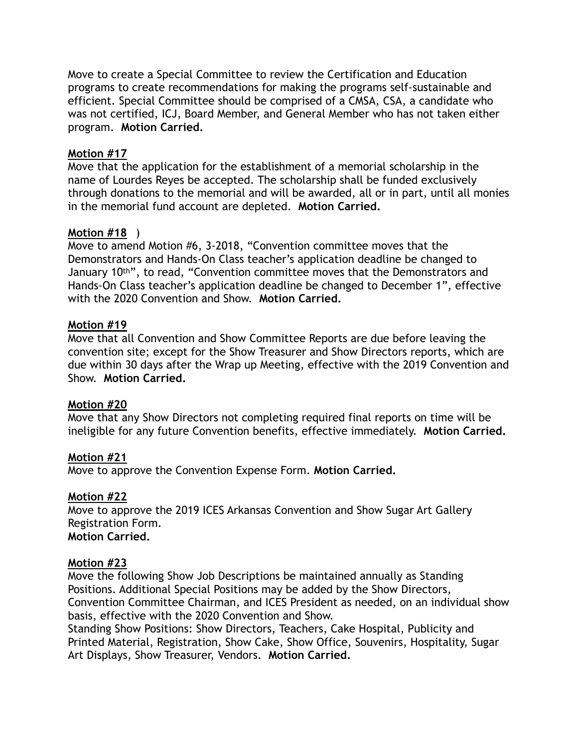Move to create a Special Committee to review the Certification and Education programs to create recommendations for making the programs self-sustainable and efficient. Special Committee should be comprised of a CMSA, CSA, a candidate who was not certified, ICJ, Board Member, and General Member who has not taken either program. **Motion Carried.**

# **Motion #17**

Move that the application for the establishment of a memorial scholarship in the name of Lourdes Reyes be accepted. The scholarship shall be funded exclusively through donations to the memorial and will be awarded, all or in part, until all monies in the memorial fund account are depleted. **Motion Carried.**

# **Motion #18** )

Move to amend Motion #6, 3-2018, "Convention committee moves that the Demonstrators and Hands-On Class teacher's application deadline be changed to January 10th", to read, "Convention committee moves that the Demonstrators and Hands-On Class teacher's application deadline be changed to December 1", effective with the 2020 Convention and Show. **Motion Carried.** 

## **Motion #19**

Move that all Convention and Show Committee Reports are due before leaving the convention site; except for the Show Treasurer and Show Directors reports, which are due within 30 days after the Wrap up Meeting, effective with the 2019 Convention and Show. **Motion Carried.**

## **Motion #20**

Move that any Show Directors not completing required final reports on time will be ineligible for any future Convention benefits, effective immediately. **Motion Carried.** 

## **Motion #21**

Move to approve the Convention Expense Form. **Motion Carried.** 

## **Motion #22**

Move to approve the 2019 ICES Arkansas Convention and Show Sugar Art Gallery Registration Form. **Motion Carried.** 

## **Motion #23**

Move the following Show Job Descriptions be maintained annually as Standing Positions. Additional Special Positions may be added by the Show Directors, Convention Committee Chairman, and ICES President as needed, on an individual show basis, effective with the 2020 Convention and Show.

Standing Show Positions: Show Directors, Teachers, Cake Hospital, Publicity and Printed Material, Registration, Show Cake, Show Office, Souvenirs, Hospitality, Sugar Art Displays, Show Treasurer, Vendors. **Motion Carried.**